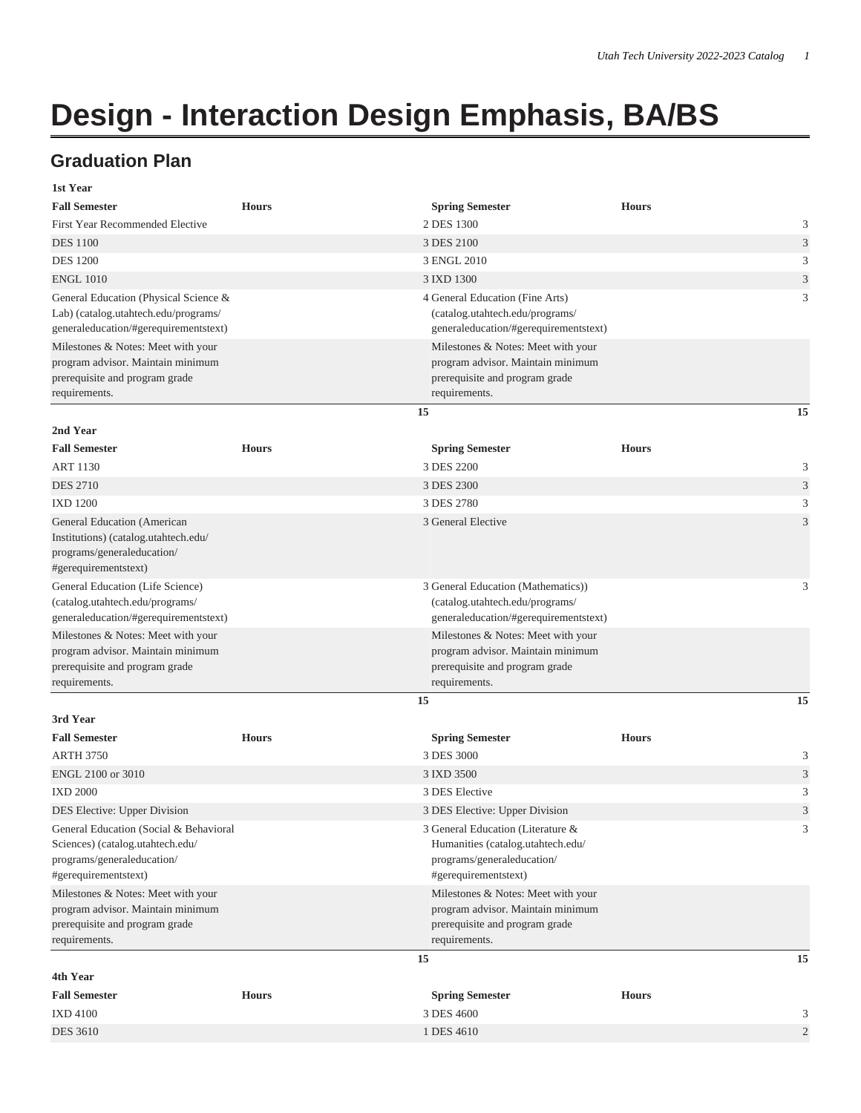## **Design - Interaction Design Emphasis, BA/BS**

## **Graduation Plan**

| 1st Year                                                                                                                         |              |                                                                                                                              |                |
|----------------------------------------------------------------------------------------------------------------------------------|--------------|------------------------------------------------------------------------------------------------------------------------------|----------------|
| <b>Fall Semester</b>                                                                                                             | <b>Hours</b> | <b>Spring Semester</b>                                                                                                       | <b>Hours</b>   |
| <b>First Year Recommended Elective</b>                                                                                           |              | 2 DES 1300                                                                                                                   | 3              |
| <b>DES</b> 1100                                                                                                                  |              | 3 DES 2100                                                                                                                   | 3              |
| <b>DES 1200</b>                                                                                                                  |              | 3 ENGL 2010                                                                                                                  | 3              |
| <b>ENGL 1010</b>                                                                                                                 |              | 3 IXD 1300                                                                                                                   | 3              |
| General Education (Physical Science &<br>Lab) (catalog.utahtech.edu/programs/<br>generaleducation/#gerequirementstext)           |              | 4 General Education (Fine Arts)<br>(catalog.utahtech.edu/programs/<br>generaleducation/#gerequirementstext)                  | 3              |
| Milestones & Notes: Meet with your                                                                                               |              | Milestones & Notes: Meet with your                                                                                           |                |
| program advisor. Maintain minimum<br>prerequisite and program grade<br>requirements.                                             |              | program advisor. Maintain minimum<br>prerequisite and program grade<br>requirements.                                         |                |
|                                                                                                                                  |              | 15                                                                                                                           | 15             |
| 2nd Year                                                                                                                         |              |                                                                                                                              |                |
| <b>Fall Semester</b>                                                                                                             | <b>Hours</b> | <b>Spring Semester</b>                                                                                                       | <b>Hours</b>   |
| <b>ART 1130</b>                                                                                                                  |              | 3 DES 2200                                                                                                                   | 3              |
| <b>DES 2710</b>                                                                                                                  |              | 3 DES 2300                                                                                                                   | 3              |
| <b>IXD 1200</b>                                                                                                                  |              | 3 DES 2780                                                                                                                   | 3              |
| General Education (American<br>Institutions) (catalog.utahtech.edu/<br>programs/generaleducation/<br>#gerequirementstext)        |              | 3 General Elective                                                                                                           | 3              |
| General Education (Life Science)<br>(catalog.utahtech.edu/programs/<br>generaleducation/#gerequirementstext)                     |              | 3 General Education (Mathematics))<br>(catalog.utahtech.edu/programs/<br>generaleducation/#gerequirementstext)               | 3              |
| Milestones & Notes: Meet with your                                                                                               |              | Milestones & Notes: Meet with your                                                                                           |                |
| program advisor. Maintain minimum<br>prerequisite and program grade<br>requirements.                                             |              | program advisor. Maintain minimum<br>prerequisite and program grade<br>requirements.                                         |                |
|                                                                                                                                  |              | 15                                                                                                                           | 15             |
| 3rd Year                                                                                                                         |              |                                                                                                                              |                |
| <b>Fall Semester</b>                                                                                                             | <b>Hours</b> | <b>Spring Semester</b>                                                                                                       | <b>Hours</b>   |
| <b>ARTH 3750</b>                                                                                                                 |              | 3 DES 3000                                                                                                                   | 3              |
| ENGL 2100 or 3010                                                                                                                |              | 3 IXD 3500                                                                                                                   | 3              |
| <b>IXD 2000</b>                                                                                                                  |              | 3 DES Elective                                                                                                               | 3              |
| DES Elective: Upper Division                                                                                                     |              | 3 DES Elective: Upper Division                                                                                               | 3              |
| General Education (Social & Behavioral<br>Sciences) (catalog.utahtech.edu/<br>programs/generaleducation/<br>#gerequirementstext) |              | 3 General Education (Literature &<br>Humanities (catalog.utahtech.edu/<br>programs/generaleducation/<br>#gerequirementstext) | 3              |
| Milestones & Notes: Meet with your                                                                                               |              | Milestones & Notes: Meet with your                                                                                           |                |
| program advisor. Maintain minimum<br>prerequisite and program grade<br>requirements.                                             |              | program advisor. Maintain minimum<br>prerequisite and program grade<br>requirements.                                         |                |
|                                                                                                                                  |              | 15                                                                                                                           | 15             |
| 4th Year                                                                                                                         |              |                                                                                                                              |                |
| <b>Fall Semester</b>                                                                                                             | <b>Hours</b> | <b>Spring Semester</b>                                                                                                       | <b>Hours</b>   |
| <b>IXD 4100</b>                                                                                                                  |              | 3 DES 4600                                                                                                                   | 3              |
| <b>DES 3610</b>                                                                                                                  |              | 1 DES 4610                                                                                                                   | $\overline{2}$ |